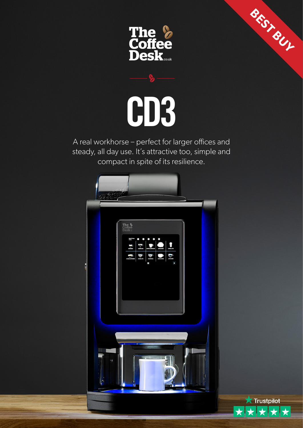



A real workhorse – perfect for larger offices and steady, all day use. It's attractive too, simple and compact in spite of its resilience.





**BEST BUY**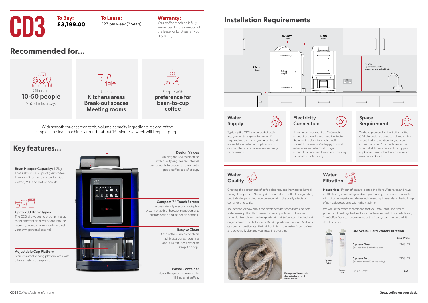£27 per week (3 years)

#### **Warranty:**

Your coffee machine is fully warrantied for the duration of the lease, or for 3 years if you buy outright.

# **CD3 To Buy:**<br>**E3,199.00 E27 per wee**

**To Buy: £3,199.00**

**Recommended for...**

## **Installation Requirements**





Kitchens areas Break-out spaces Meeting rooms

People with preference for bean-to-cup coffee



CD3 | Coffee Machine Information **Great coffee on your desk.** 

Easy to Clean

Design Values

keep it tip-top.

Please Note: If your offices are located in a Hard Water area and have no filtration systems integrated into your supply, our Service Guarantee will not cover repairs and damaged caused by lime-scale or the build-up of particulate deposits within the machine.

With smooth touchscreen tech, volume capacity ingredients it's one of the simplest to clean machines around – about 15 minutes a week will keep it tip-top.

into your water supply. However, if required we can install your machine with a standalone water tank option which can be fitted into a cabinet or discreetly hidden away.



Creating the perfect cup of coffee also requires the water to have all the right properties. Not only does it result in a better tasting coffee, but it also helps protect equipment against the costly effects of

**Then** 

**STAR** 

corrosion and scale.





and potentially damage your machine over time?





We would therefore recommend that you install an in-line filter to protect and prolong the life of your machine. As part of our installation, The Coffee Desk can provide one of the filter systems below and fit absolutely free.

3M ScaleGuard Water Filtration

|               |               | <u>JM Jeale Oual a Watel Thuation</u>                |                  |
|---------------|---------------|------------------------------------------------------|------------------|
|               |               |                                                      | <b>Our Price</b> |
|               |               | <b>System One</b><br>(for less than 50 drinks a day) | £149.99          |
| System<br>One |               | <b>System Two</b><br>(for more than 50 drinks a day) | £199.99          |
|               | System<br>Two | <b>Fitting Costs:</b>                                | <b>FREE</b>      |

connection. Ideally, we need to situate the machine close to a mains wall socket. However, we're happy to install extensions and electrical fixings to connect the machine to a source that may be located further away.

#### CD3 dimensions above to help you think about the best location for your new coffee machine. Your machine can be fitted into kitchen areas with no uppercupboard, on an island, or can sit on its own base cabinet.

### **Water Filtration**

Example of lime-scale deposits from hard water areas.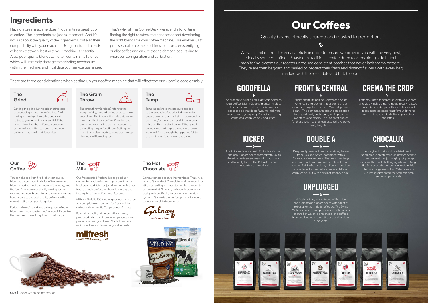We've select our roaster very carefully in order to ensure we provide you with the very best, ethically sourced coffees. Roasted in traditional coffee drum roasters along side hi-tech monitoring systems our roasters produce consistent batches that never lack aroma or taste. They're are then bagged and sealed to protect their fresh and distinct flavours with every bag marked with the roast date and batch code.

## **Our Coffees**

Quality beans, ethically sourced and roasted to perfection.

 $\mathbf{Q}$ 

Perfectly Suited for espressos with an excellent and visibly rich crema. A medium dark roasted coffee blended especially for its traditional Italian espresso deep roast flavour. It works well in milk-based drinks like cappuccinos and lattes.

## **CREMA THE CROP**

Bright and fruity pairing Central and South American single-origins, plus some of our extremely popular Ethiopian Mocha Djimmah beans. The dominant American combination gives good body and crema, while providing sweetness and acidity. This is a great choice for those who like their espresso to have some fruity brightness.

> A magical luxurious chocolate blend. Being able to create your ultimate chocolate drink is a treat that just might pick you up even on the most challenging of days. Using the finest coco imported from sustainable international growers, this 25% cocoa mix is so lovingly prepared that you can even see the sugar crystals.

An authentic, strong and slightly spicy Italian roast coffee. Mainly South American Arabica coffee beans with a dash of Robusta coffee beans to add that deep favourful kick you need to keep you going. Perfect for making espressos, cappuccinos, and lattes.

## **GOODFELLA**

Rustic tones from a classic Ethiopian Mocha. Djimmah Arabica beans married with South American refinement means big body and earthy, nutty tones. The Robusta means a noticeable caffeine kick!

## **FRONT & CENTRAL**

A fresh tasting, mixed blend of Brazilian and Colombian arabica beans with a hint of robusta for that little bit of edge. The Swiss Water decaffeination process soaks the beans in pure hot water to preserve all the coffee's inherent flavours without the use of chemicals or solvents.



## **KICKER**

## **UNPLUGGED**

Deep and powerful blend, containing beans from Asia and Africa, combined with a Monsoon Malabar bean. The blend has bags of crema that leaves you with an almost neverending finish of chocolate, toffee and smokey spice. In milk it can make a fantastic latte or cappuccino, but with a distinct smokey edge.

## **DOUBLE A**







#### The Grind

Getting the grind just right is the first step to producing a great cup of coffee. And having a good quality coffee and roast suited to your machine is essential. If the grind is too fine, the coffee can be overextracted and bitter, too course and your coffee will be weak and flavourless.



Tamping refers to the pressure applied to the ground coffee prior to brewing to ensure an even density. Using a poor quality bean and/or blend can result in an uneven grind and inconsistent throw. If the grind is uneven and the tamp is uneven and loose, water will flow through the gaps and fail to extract the full flavour from the coffee.



You can choose from five high street quality blends created specifically for office use where blends need to meet the needs of the many, not the few. And we're constantly looking for new roasters and new blends to ensure our customers have access to the best quality coffees on the market, at the best possible prices.

Periodically we'll send you taster packs of new blends form new roasters we've found. If you like the new blends we'll buy them in just for you!



Our freeze dried fresh milk is as good as it gets with no added colours, preservatives or Hydrogenated Fats. It's just skimmed milk that's freeze dried - perfect for the office and great tasting, fuss free, coffee time after time.

Milfresh Gold is 100% dairy goodness and used as a complete replacement for fresh milk to deliver truly authentic Cappuccinos & Lattes.

Pure, high quality skimmed milk granules, produced using a unique drying process which protects natural goodness. Made from pure milk, is fat free and tastes 'as good as fresh'.





**Chocolate** 

The Hot

Our customers deserve the very best. That's why we use Galaxy Hot Chocolate in all our machines - the best selling and best tasting hot chocolate on the market. Smooth, deliciously creamy and designed specifically for use with automated systems, Galaxy is the perfect partner for some serious chocolate indulgence.





CD3 | Coffee Machine Information

## **Ingredients**

Having a great machine doesn't guarantee a great cup of coffee. The ingredients are just as important. And it's not just about the quality of the ingredients, but also their compatibility with your machine. Using roasts and blends of beans that work best with your machine is essential. Also, poor quality blends can often contain small stones which will ultimately damage the grinding mechanism within the machine, and invalidate your service guarantee. That's why, at The Coffee Desk, we spend a lot of time finding the right roasters, the right beans and developing the right blends for your coffee machine. This enables us to precisely calibrate the machines to make consistently high quality coffee and ensure that no damage occurs due to improper configuration and calibration.

There are three considerations when setting up your coffee machine that will effect the drink profile considerably.